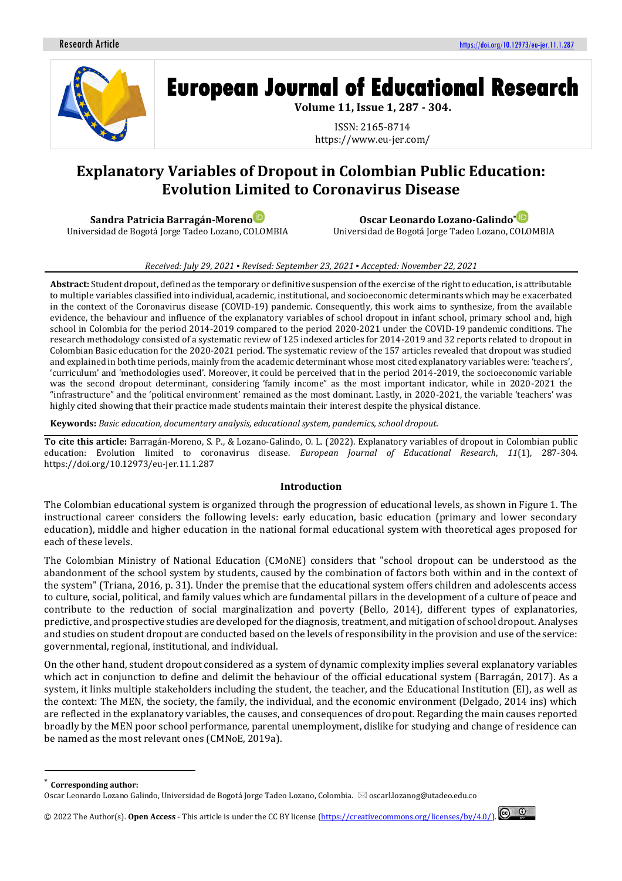

# **European Journal of Educational Research**

**Volume 11, Issue 1, 287 - 304.**

ISSN: 2165-8714 https://www.eu-jer.com/

# **Explanatory Variables of Dropout in Colombian Public Education: Evolution Limited to Coronavirus Disease**

**Sandra Patricia Barragán-Moreno** Universidad de Bogotá Jorge Tadeo Lozano, COLOMBIA

**Oscar Leonardo Lozano-Galindo\*** Universidad de Bogotá Jorge Tadeo Lozano, COLOMBIA

#### *Received: July 29, 2021 ▪ Revised: September 23, 2021 ▪ Accepted: November 22, 2021*

**Abstract:** Student dropout, defined as the temporary or definitive suspension of the exercise of the right to education, is attributable to multiple variables classified into individual, academic, institutional, and socioeconomic determinants which may be exacerbated in the context of the Coronavirus disease (COVID-19) pandemic. Consequently, this work aims to synthesize, from the available evidence, the behaviour and influence of the explanatory variables of school dropout in infant school, primary school and, high school in Colombia for the period 2014-2019 compared to the period 2020-2021 under the COVID-19 pandemic conditions. The research methodology consisted of a systematic review of 125 indexed articles for 2014-2019 and 32 reports related to dropout in Colombian Basic education for the 2020-2021 period. The systematic review of the 157 articles revealed that dropout was studied and explained in both time periods, mainly from the academic determinant whose most cited explanatory variables were: 'teachers', 'curriculum' and 'methodologies used'. Moreover, it could be perceived that in the period 2014-2019, the socioeconomic variable was the second dropout determinant, considering 'family income" as the most important indicator, while in 2020-2021 the "infrastructure" and the 'political environment' remained as the most dominant. Lastly, in 2020-2021, the variable 'teachers' was highly cited showing that their practice made students maintain their interest despite the physical distance.

**Keywords:** *Basic education, documentary analysis, educational system, pandemics, school dropout.*

**To cite this article:** Barragán-Moreno, S. P., & Lozano-Galindo, O. L. (2022). Explanatory variables of dropout in Colombian public education: Evolution limited to coronavirus disease. *European Journal of Educational Research*, *11*(1), 287-304. https://doi.org/10.12973/eu-jer.11.1.287

#### **Introduction**

The Colombian educational system is organized through the progression of educational levels, as shown in Figure 1. The instructional career considers the following levels: early education, basic education (primary and lower secondary education), middle and higher education in the national formal educational system with theoretical ages proposed for each of these levels.

The Colombian Ministry of National Education (CMoNE) considers that "school dropout can be understood as the abandonment of the school system by students, caused by the combination of factors both within and in the context of the system" (Triana, 2016, p. 31). Under the premise that the educational system offers children and adolescents access to culture, social, political, and family values which are fundamental pillars in the development of a culture of peace and contribute to the reduction of social marginalization and poverty (Bello, 2014), different types of explanatories, predictive, and prospective studies are developed for the diagnosis, treatment, and mitigation of school dropout. Analyses and studies on student dropout are conducted based on the levels of responsibility in the provision and use of the service: governmental, regional, institutional, and individual.

On the other hand, student dropout considered as a system of dynamic complexity implies several explanatory variables which act in conjunction to define and delimit the behaviour of the official educational system (Barragán, 2017). As a system, it links multiple stakeholders including the student, the teacher, and the Educational Institution (EI), as well as the context: The MEN, the society, the family, the individual, and the economic environment (Delgado, 2014 ins) which are reflected in the explanatory variables, the causes, and consequences of dropout. Regarding the main causes reported broadly by the MEN poor school performance, parental unemployment, dislike for studying and change of residence can be named as the most relevant ones (CMNoE, 2019a).



**Corresponding author:** 

Oscar Leonardo Lozano Galindo, Universidad de Bogotá Jorge Tadeo Lozano, Colombia. ⊠ oscarl.lozanog@utadeo.edu.co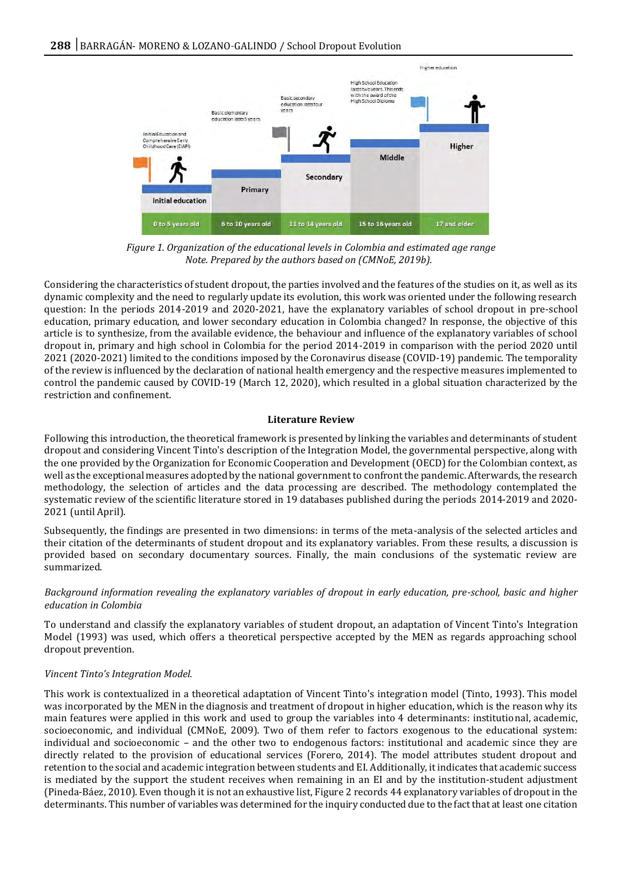

*Figure 1. Organization of the educational levels in Colombia and estimated age range Note. Prepared by the authors based on (CMNoE, 2019b).*

Considering the characteristics of student dropout, the parties involved and the features of the studies on it, as well as its dynamic complexity and the need to regularly update its evolution, this work was oriented under the following research question: In the periods 2014-2019 and 2020-2021, have the explanatory variables of school dropout in pre-school education, primary education, and lower secondary education in Colombia changed? In response, the objective of this article is to synthesize, from the available evidence, the behaviour and influence of the explanatory variables of school dropout in, primary and high school in Colombia for the period 2014-2019 in comparison with the period 2020 until 2021 (2020-2021) limited to the conditions imposed by the Coronavirus disease (COVID-19) pandemic. The temporality of the review is influenced by the declaration of national health emergency and the respective measures implemented to control the pandemic caused by COVID-19 (March 12, 2020), which resulted in a global situation characterized by the restriction and confinement.

# **Literature Review**

Following this introduction, the theoretical framework is presented by linking the variables and determinants of student dropout and considering Vincent Tinto's description of the Integration Model, the governmental perspective, along with the one provided by the Organization for Economic Cooperation and Development (OECD) for the Colombian context, as well as the exceptional measures adopted by the national government to confront the pandemic. Afterwards, the research methodology, the selection of articles and the data processing are described. The methodology contemplated the systematic review of the scientific literature stored in 19 databases published during the periods 2014-2019 and 2020- 2021 (until April).

Subsequently, the findings are presented in two dimensions: in terms of the meta-analysis of the selected articles and their citation of the determinants of student dropout and its explanatory variables. From these results, a discussion is provided based on secondary documentary sources. Finally, the main conclusions of the systematic review are summarized.

# *Background information revealing the explanatory variables of dropout in early education, pre-school, basic and higher education in Colombia*

To understand and classify the explanatory variables of student dropout, an adaptation of Vincent Tinto's Integration Model (1993) was used, which offers a theoretical perspective accepted by the MEN as regards approaching school dropout prevention.

# *Vincent Tinto's Integration Model.*

This work is contextualized in a theoretical adaptation of Vincent Tinto's integration model (Tinto, 1993). This model was incorporated by the MEN in the diagnosis and treatment of dropout in higher education, which is the reason why its main features were applied in this work and used to group the variables into 4 determinants: institutional, academic, socioeconomic, and individual (CMNoE, 2009). Two of them refer to factors exogenous to the educational system: individual and socioeconomic – and the other two to endogenous factors: institutional and academic since they are directly related to the provision of educational services (Forero, 2014). The model attributes student dropout and retention to the social and academic integration between students and EI. Additionally, it indicates that academic success is mediated by the support the student receives when remaining in an EI and by the institution-student adjustment (Pineda-Báez, 2010). Even though it is not an exhaustive list, Figure 2 records 44 explanatory variables of dropout in the determinants. This number of variables was determined for the inquiry conducted due to the fact that at least one citation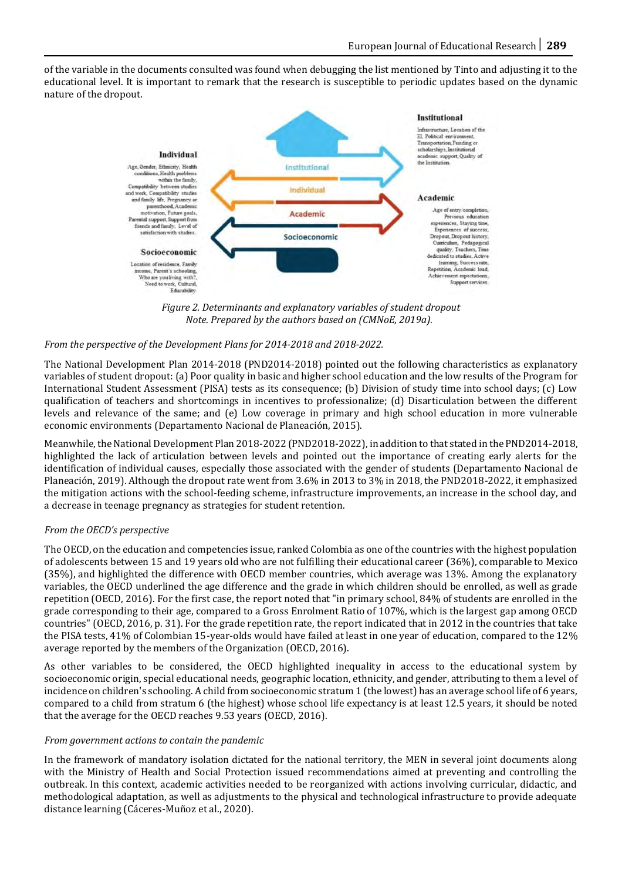of the variable in the documents consulted was found when debugging the list mentioned by Tinto and adjusting it to the educational level. It is important to remark that the research is susceptible to periodic updates based on the dynamic nature of the dropout.



*Figure 2. Determinants and explanatory variables of student dropout Note. Prepared by the authors based on (CMNoE, 2019a).*

# *From the perspective of the Development Plans for 2014-2018 and 2018-2022.*

The National Development Plan 2014-2018 (PND2014-2018) pointed out the following characteristics as explanatory variables of student dropout: (a) Poor quality in basic and higher school education and the low results of the Program for International Student Assessment (PISA) tests as its consequence; (b) Division of study time into school days; (c) Low qualification of teachers and shortcomings in incentives to professionalize; (d) Disarticulation between the different levels and relevance of the same; and (e) Low coverage in primary and high school education in more vulnerable economic environments (Departamento Nacional de Planeación, 2015).

Meanwhile, the National Development Plan 2018-2022 (PND2018-2022), in addition to that stated in the PND2014-2018, highlighted the lack of articulation between levels and pointed out the importance of creating early alerts for the identification of individual causes, especially those associated with the gender of students (Departamento Nacional de Planeación, 2019). Although the dropout rate went from 3.6% in 2013 to 3% in 2018, the PND2018-2022, it emphasized the mitigation actions with the school-feeding scheme, infrastructure improvements, an increase in the school day, and a decrease in teenage pregnancy as strategies for student retention.

#### *From the OECD's perspective*

The OECD, on the education and competencies issue, ranked Colombia as one of the countries with the highest population of adolescents between 15 and 19 years old who are not fulfilling their educational career (36%), comparable to Mexico (35%), and highlighted the difference with OECD member countries, which average was 13%. Among the explanatory variables, the OECD underlined the age difference and the grade in which children should be enrolled, as well as grade repetition (OECD, 2016). For the first case, the report noted that "in primary school, 84% of students are enrolled in the grade corresponding to their age, compared to a Gross Enrolment Ratio of 107%, which is the largest gap among OECD countries" (OECD, 2016, p. 31). For the grade repetition rate, the report indicated that in 2012 in the countries that take the PISA tests, 41% of Colombian 15-year-olds would have failed at least in one year of education, compared to the 12% average reported by the members of the Organization (OECD, 2016).

As other variables to be considered, the OECD highlighted inequality in access to the educational system by socioeconomic origin, special educational needs, geographic location, ethnicity, and gender, attributing to them a level of incidence on children's schooling. A child from socioeconomic stratum 1 (the lowest) has an average school life of 6 years, compared to a child from stratum 6 (the highest) whose school life expectancy is at least 12.5 years, it should be noted that the average for the OECD reaches 9.53 years (OECD, 2016).

#### *From government actions to contain the pandemic*

In the framework of mandatory isolation dictated for the national territory, the MEN in several joint documents along with the Ministry of Health and Social Protection issued recommendations aimed at preventing and controlling the outbreak. In this context, academic activities needed to be reorganized with actions involving curricular, didactic, and methodological adaptation, as well as adjustments to the physical and technological infrastructure to provide adequate distance learning (Cáceres-Muñoz et al., 2020).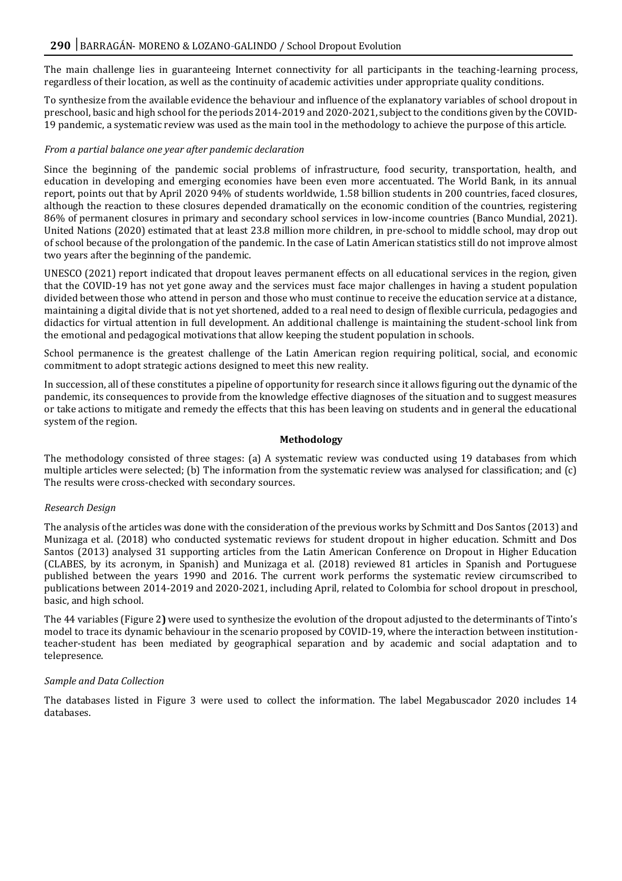The main challenge lies in guaranteeing Internet connectivity for all participants in the teaching-learning process, regardless of their location, as well as the continuity of academic activities under appropriate quality conditions.

To synthesize from the available evidence the behaviour and influence of the explanatory variables of school dropout in preschool, basic and high school for the periods 2014-2019 and 2020-2021, subject to the conditions given by the COVID-19 pandemic, a systematic review was used as the main tool in the methodology to achieve the purpose of this article.

# *From a partial balance one year after pandemic declaration*

Since the beginning of the pandemic social problems of infrastructure, food security, transportation, health, and education in developing and emerging economies have been even more accentuated. The World Bank, in its annual report, points out that by April 2020 94% of students worldwide, 1.58 billion students in 200 countries, faced closures, although the reaction to these closures depended dramatically on the economic condition of the countries, registering 86% of permanent closures in primary and secondary school services in low-income countries (Banco Mundial, 2021). United Nations (2020) estimated that at least 23.8 million more children, in pre-school to middle school, may drop out of school because of the prolongation of the pandemic. In the case of Latin American statistics still do not improve almost two years after the beginning of the pandemic.

UNESCO (2021) report indicated that dropout leaves permanent effects on all educational services in the region, given that the COVID-19 has not yet gone away and the services must face major challenges in having a student population divided between those who attend in person and those who must continue to receive the education service at a distance, maintaining a digital divide that is not yet shortened, added to a real need to design of flexible curricula, pedagogies and didactics for virtual attention in full development. An additional challenge is maintaining the student-school link from the emotional and pedagogical motivations that allow keeping the student population in schools.

School permanence is the greatest challenge of the Latin American region requiring political, social, and economic commitment to adopt strategic actions designed to meet this new reality.

In succession, all of these constitutes a pipeline of opportunity for research since it allows figuring out the dynamic of the pandemic, its consequences to provide from the knowledge effective diagnoses of the situation and to suggest measures or take actions to mitigate and remedy the effects that this has been leaving on students and in general the educational system of the region.

# **Methodology**

The methodology consisted of three stages: (a) A systematic review was conducted using 19 databases from which multiple articles were selected; (b) The information from the systematic review was analysed for classification; and (c) The results were cross-checked with secondary sources.

# *Research Design*

The analysis of the articles was done with the consideration of the previous works by Schmitt and Dos Santos (2013) and Munizaga et al. (2018) who conducted systematic reviews for student dropout in higher education. Schmitt and Dos Santos (2013) analysed 31 supporting articles from the Latin American Conference on Dropout in Higher Education (CLABES, by its acronym, in Spanish) and Munizaga et al. (2018) reviewed 81 articles in Spanish and Portuguese published between the years 1990 and 2016. The current work performs the systematic review circumscribed to publications between 2014-2019 and 2020-2021, including April, related to Colombia for school dropout in preschool, basic, and high school.

The 44 variables (Figure 2**)** were used to synthesize the evolution of the dropout adjusted to the determinants of Tinto's model to trace its dynamic behaviour in the scenario proposed by COVID-19, where the interaction between institutionteacher-student has been mediated by geographical separation and by academic and social adaptation and to telepresence.

# *Sample and Data Collection*

The databases listed in Figure 3 were used to collect the information. The label Megabuscador 2020 includes 14 databases.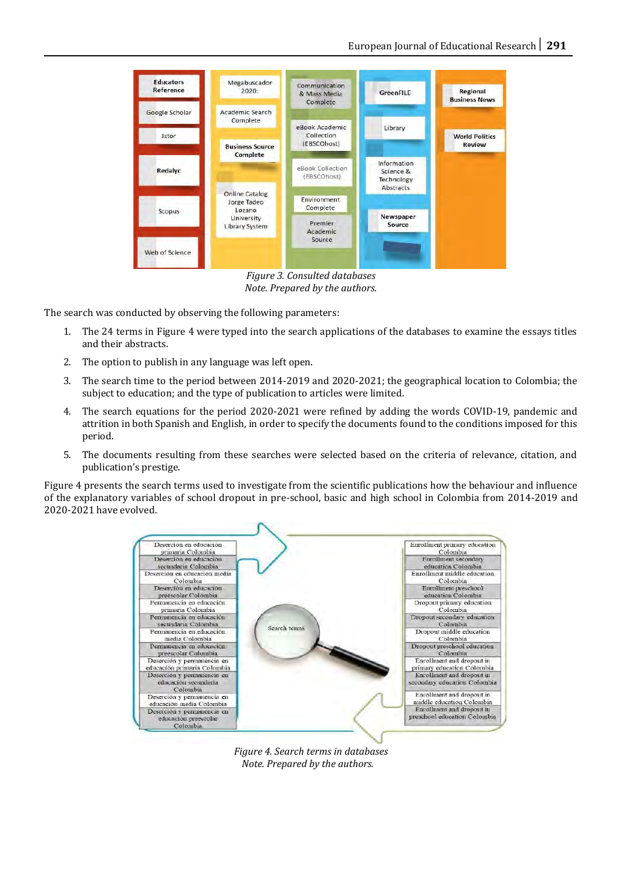

*Figure 3. Consulted databases Note. Prepared by the authors.*

The search was conducted by observing the following parameters:

- 1. The 24 terms in Figure 4 were typed into the search applications of the databases to examine the essays titles and their abstracts.
- 2. The option to publish in any language was left open.
- 3. The search time to the period between 2014-2019 and 2020-2021; the geographical location to Colombia; the subject to education; and the type of publication to articles were limited.
- 4. The search equations for the period 2020-2021 were refined by adding the words COVID-19, pandemic and attrition in both Spanish and English, in order to specify the documents found to the conditions imposed for this period.
- 5. The documents resulting from these searches were selected based on the criteria of relevance, citation, and publication's prestige.

Figure 4 presents the search terms used to investigate from the scientific publications how the behaviour and influence of the explanatory variables of school dropout in pre-school, basic and high school in Colombia from 2014-2019 and 2020-2021 have evolved.



*Figure 4. Search terms in databases Note. Prepared by the authors.*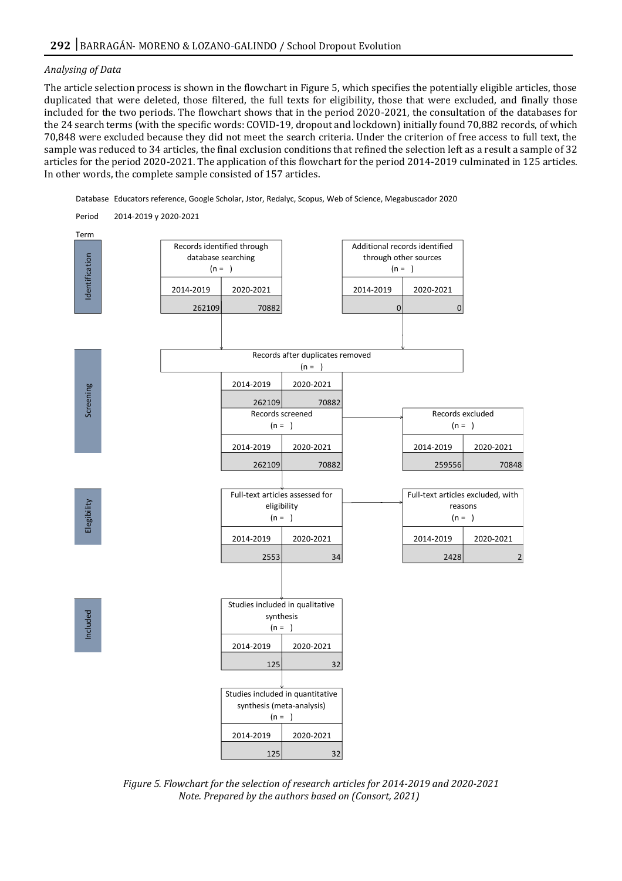#### *Analysing of Data*

The article selection process is shown in the flowchart in Figure 5, which specifies the potentially eligible articles, those duplicated that were deleted, those filtered, the full texts for eligibility, those that were excluded, and finally those included for the two periods. The flowchart shows that in the period 2020-2021, the consultation of the databases for the 24 search terms (with the specific words: COVID-19, dropout and lockdown) initially found 70,882 records, of which 70,848 were excluded because they did not meet the search criteria. Under the criterion of free access to full text, the sample was reduced to 34 articles, the final exclusion conditions that refined the selection left as a result a sample of 32 articles for the period 2020-2021. The application of this flowchart for the period 2014-2019 culminated in 125 articles. In other words, the complete sample consisted of 157 articles.

Database Educators reference, Google Scholar, Jstor, Redalyc, Scopus, Web of Science, Megabuscador 2020



*Figure 5. Flowchart for the selection of research articles for 2014-2019 and 2020-2021 Note. Prepared by the authors based on (Consort, 2021)*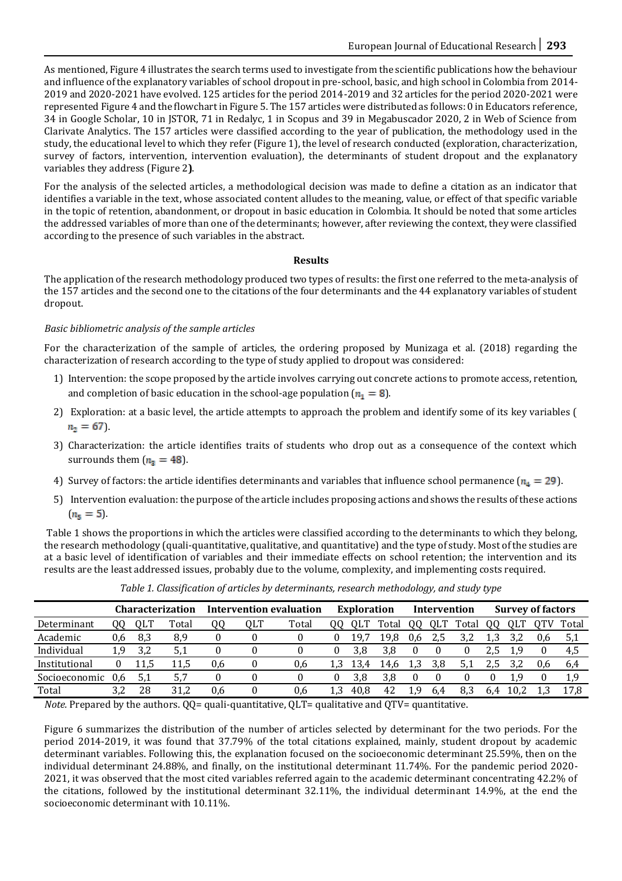As mentioned, Figure 4 illustrates the search terms used to investigate from the scientific publications how the behaviour and influence of the explanatory variables of school dropout in pre-school, basic, and high school in Colombia from 2014- 2019 and 2020-2021 have evolved. 125 articles for the period 2014-2019 and 32 articles for the period 2020-2021 were represented Figure 4 and the flowchart in Figure 5. The 157 articles were distributed as follows: 0 in Educators reference, 34 in Google Scholar, 10 in JSTOR, 71 in Redalyc, 1 in Scopus and 39 in Megabuscador 2020, 2 in Web of Science from Clarivate Analytics. The 157 articles were classified according to the year of publication, the methodology used in the study, the educational level to which they refer (Figure 1), the level of research conducted (exploration, characterization, survey of factors, intervention, intervention evaluation), the determinants of student dropout and the explanatory variables they address (Figure 2**)**.

For the analysis of the selected articles, a methodological decision was made to define a citation as an indicator that identifies a variable in the text, whose associated content alludes to the meaning, value, or effect of that specific variable in the topic of retention, abandonment, or dropout in basic education in Colombia. It should be noted that some articles the addressed variables of more than one of the determinants; however, after reviewing the context, they were classified according to the presence of such variables in the abstract.

# **Results**

The application of the research methodology produced two types of results: the first one referred to the meta-analysis of the 157 articles and the second one to the citations of the four determinants and the 44 explanatory variables of student dropout.

# *Basic bibliometric analysis of the sample articles*

For the characterization of the sample of articles, the ordering proposed by Munizaga et al. (2018) regarding the characterization of research according to the type of study applied to dropout was considered:

- 1) Intervention: the scope proposed by the article involves carrying out concrete actions to promote access, retention, and completion of basic education in the school-age population  $(n_1 = 8)$ .
- 2) Exploration: at a basic level, the article attempts to approach the problem and identify some of its key variables (  $n_2 = 67$ .
- 3) Characterization: the article identifies traits of students who drop out as a consequence of the context which surrounds them  $(n_3 = 48)$ .
- 4) Survey of factors: the article identifies determinants and variables that influence school permanence  $(n_4 = 29)$ .
- 5) Intervention evaluation: the purpose of the article includes proposing actions and shows the results of these actions  $(n_5 = 5)$ .

Table 1 shows the proportions in which the articles were classified according to the determinants to which they belong, the research methodology (quali-quantitative, qualitative, and quantitative) and the type of study. Most of the studies are at a basic level of identification of variables and their immediate effects on school retention; the intervention and its results are the least addressed issues, probably due to the volume, complexity, and implementing costs required.

|               | <b>Characterization</b> |      |        | <b>Intervention evaluation</b> |     |       | <b>Exploration</b> |      |       | <b>Intervention</b> |     |       | <b>Survey of factors</b> |     |     |       |
|---------------|-------------------------|------|--------|--------------------------------|-----|-------|--------------------|------|-------|---------------------|-----|-------|--------------------------|-----|-----|-------|
| Determinant   | OO.                     | 0L'I | l'otal | QQ                             | QLT | Total | 00                 |      | `otal | UΟ                  | 0LT | Total | UΟ                       |     |     | Total |
| Academic      | 0.6                     | 8.3  | 8,9    |                                |     |       |                    | 19.7 | ۱9.   | 0.6                 | 2,5 | 3.2   | 1,3                      |     | 0.6 | 5,1   |
| Individual    | 1 Y                     | 3.2  | 5.1    |                                |     |       |                    | 3.8  | 3.8   |                     |     |       | 2,5                      | 1,9 |     | 4,5   |
| Institutional |                         | 11,5 | 11,5   | 0,6                            |     | 0.6   | 1.3                | 13,4 | 14,6  | L.3                 | 3,8 | 5,1   |                          |     | 0,6 | 6,4   |
| Socioeconomic | 0.6                     | 5,1  | 5,7    |                                |     |       |                    | 3.8  | 3.8   |                     |     |       |                          | 1,9 |     | 1,9   |
| Total         | 3.2                     | 28   | 31.2   | 0.6                            |     | 0,6   | 1.3                | 40.8 | 42    | . 9                 | 6.4 | 8.3   | 6.4                      |     |     | 17.8  |

*Table 1. Classification of articles by determinants, research methodology, and study type*

*Note.* Prepared by the authors. QQ= quali-quantitative, QLT= qualitative and QTV= quantitative.

Figure 6 summarizes the distribution of the number of articles selected by determinant for the two periods. For the period 2014-2019, it was found that 37.79% of the total citations explained, mainly, student dropout by academic determinant variables. Following this, the explanation focused on the socioeconomic determinant 25.59%, then on the individual determinant 24.88%, and finally, on the institutional determinant 11.74%. For the pandemic period 2020- 2021, it was observed that the most cited variables referred again to the academic determinant concentrating 42.2% of the citations, followed by the institutional determinant 32.11%, the individual determinant 14.9%, at the end the socioeconomic determinant with 10.11%.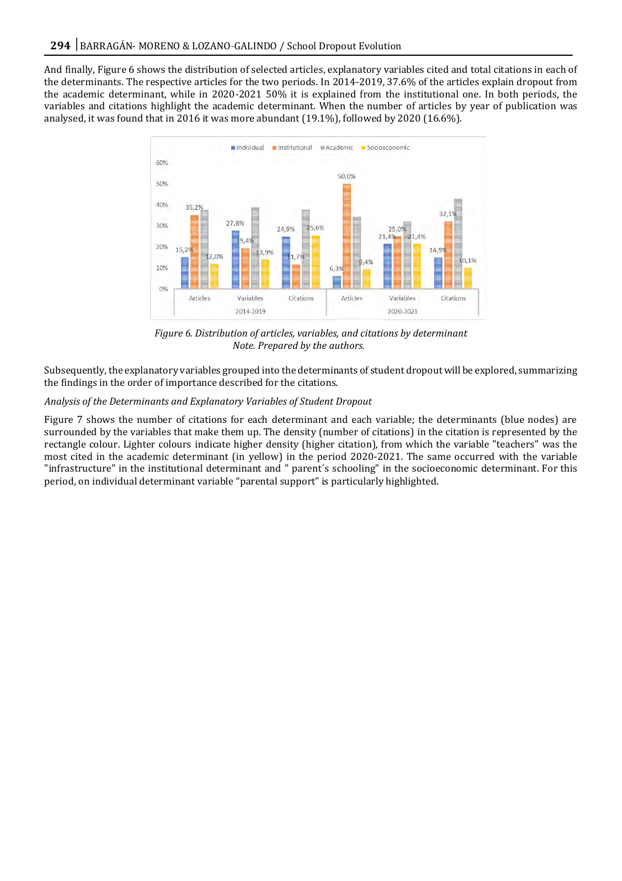And finally, Figure 6 shows the distribution of selected articles, explanatory variables cited and total citations in each of the determinants. The respective articles for the two periods. In 2014-2019, 37.6% of the articles explain dropout from the academic determinant, while in 2020-2021 50% it is explained from the institutional one. In both periods, the variables and citations highlight the academic determinant. When the number of articles by year of publication was analysed, it was found that in 2016 it was more abundant (19.1%), followed by 2020 (16.6%).



*Figure 6. Distribution of articles, variables, and citations by determinant Note. Prepared by the authors.*

Subsequently, the explanatory variables grouped into the determinants of student dropout will be explored, summarizing the findings in the order of importance described for the citations.

# *Analysis of the Determinants and Explanatory Variables of Student Dropout*

Figure 7 shows the number of citations for each determinant and each variable; the determinants (blue nodes) are surrounded by the variables that make them up. The density (number of citations) in the citation is represented by the rectangle colour. Lighter colours indicate higher density (higher citation), from which the variable "teachers" was the most cited in the academic determinant (in yellow) in the period 2020-2021. The same occurred with the variable "infrastructure" in the institutional determinant and " parent´s schooling" in the socioeconomic determinant. For this period, on individual determinant variable "parental support" is particularly highlighted.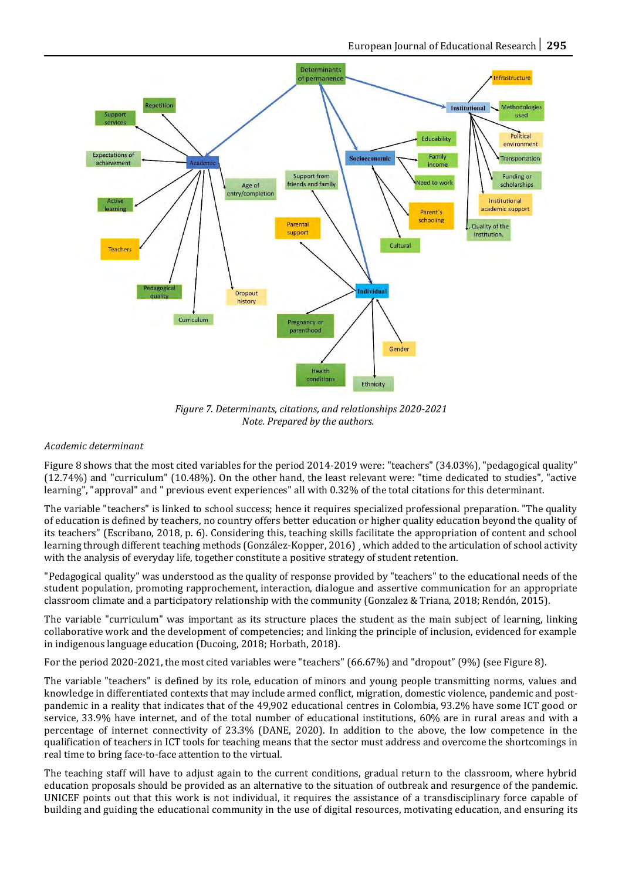

*Figure 7. Determinants, citations, and relationships 2020-2021 Note. Prepared by the authors.*

# *Academic determinant*

Figure 8 shows that the most cited variables for the period 2014-2019 were: "teachers" (34.03%), "pedagogical quality" (12.74%) and "curriculum" (10.48%). On the other hand, the least relevant were: "time dedicated to studies", "active learning", "approval" and " previous event experiences" all with 0.32% of the total citations for this determinant.

The variable "teachers" is linked to school success; hence it requires specialized professional preparation. "The quality of education is defined by teachers, no country offers better education or higher quality education beyond the quality of its teachers" (Escribano, 2018, p. 6). Considering this, teaching skills facilitate the appropriation of content and school learning through different teaching methods (González-Kopper, 2016) ¸ which added to the articulation of school activity with the analysis of everyday life, together constitute a positive strategy of student retention.

"Pedagogical quality" was understood as the quality of response provided by "teachers" to the educational needs of the student population, promoting rapprochement, interaction, dialogue and assertive communication for an appropriate classroom climate and a participatory relationship with the community (Gonzalez & Triana, 2018; Rendón, 2015).

The variable "curriculum" was important as its structure places the student as the main subject of learning, linking collaborative work and the development of competencies; and linking the principle of inclusion, evidenced for example in indigenous language education (Ducoing, 2018; Horbath, 2018).

For the period 2020-2021, the most cited variables were "teachers" (66.67%) and "dropout" (9%) (see Figure 8).

The variable "teachers" is defined by its role, education of minors and young people transmitting norms, values and knowledge in differentiated contexts that may include armed conflict, migration, domestic violence, pandemic and postpandemic in a reality that indicates that of the 49,902 educational centres in Colombia, 93.2% have some ICT good or service, 33.9% have internet, and of the total number of educational institutions, 60% are in rural areas and with a percentage of internet connectivity of 23.3% (DANE, 2020). In addition to the above, the low competence in the qualification of teachers in ICT tools for teaching means that the sector must address and overcome the shortcomings in real time to bring face-to-face attention to the virtual.

The teaching staff will have to adjust again to the current conditions, gradual return to the classroom, where hybrid education proposals should be provided as an alternative to the situation of outbreak and resurgence of the pandemic. UNICEF points out that this work is not individual, it requires the assistance of a transdisciplinary force capable of building and guiding the educational community in the use of digital resources, motivating education, and ensuring its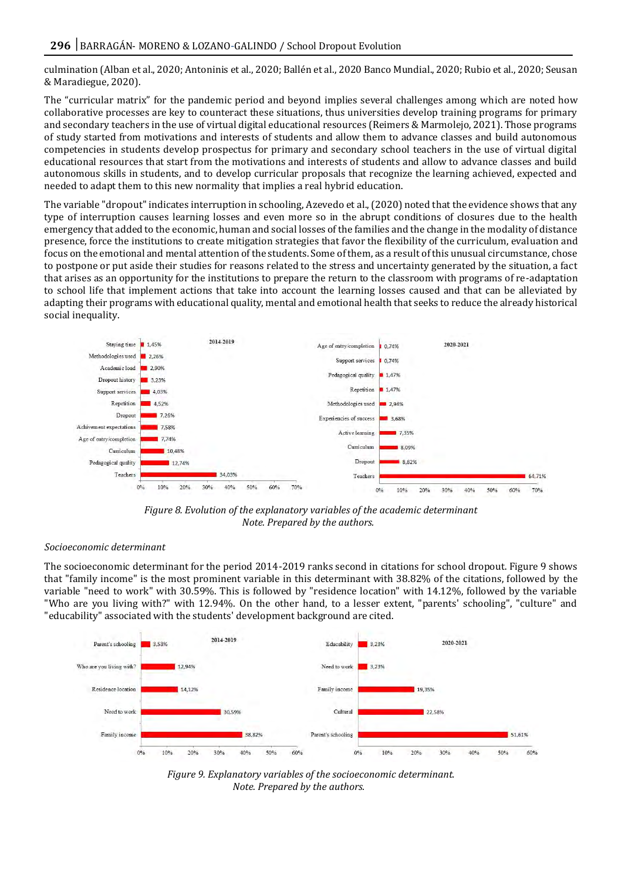culmination (Alban et al., 2020; Antoninis et al., 2020; Ballén et al., 2020 Banco Mundial., 2020; Rubio et al., 2020; Seusan & Maradiegue, 2020).

The "curricular matrix" for the pandemic period and beyond implies several challenges among which are noted how collaborative processes are key to counteract these situations, thus universities develop training programs for primary and secondary teachers in the use of virtual digital educational resources (Reimers & Marmolejo, 2021). Those programs of study started from motivations and interests of students and allow them to advance classes and build autonomous competencies in students develop prospectus for primary and secondary school teachers in the use of virtual digital educational resources that start from the motivations and interests of students and allow to advance classes and build autonomous skills in students, and to develop curricular proposals that recognize the learning achieved, expected and needed to adapt them to this new normality that implies a real hybrid education.

The variable "dropout" indicates interruption in schooling, Azevedo et al., (2020) noted that the evidence shows that any type of interruption causes learning losses and even more so in the abrupt conditions of closures due to the health emergency that added to the economic, human and social losses of the families and the change in the modality of distance presence, force the institutions to create mitigation strategies that favor the flexibility of the curriculum, evaluation and focus on the emotional and mental attention of the students. Some of them, as a result of this unusual circumstance, chose to postpone or put aside their studies for reasons related to the stress and uncertainty generated by the situation, a fact that arises as an opportunity for the institutions to prepare the return to the classroom with programs of re-adaptation to school life that implement actions that take into account the learning losses caused and that can be alleviated by adapting their programs with educational quality, mental and emotional health that seeks to reduce the already historical social inequality.



*Figure 8. Evolution of the explanatory variables of the academic determinant Note. Prepared by the authors.*

#### *Socioeconomic determinant*

The socioeconomic determinant for the period 2014-2019 ranks second in citations for school dropout. Figure 9 shows that "family income" is the most prominent variable in this determinant with 38.82% of the citations, followed by the variable "need to work" with 30.59%. This is followed by "residence location" with 14.12%, followed by the variable "Who are you living with?" with 12.94%. On the other hand, to a lesser extent, "parents' schooling", "culture" and "educability" associated with the students' development background are cited.



*Figure 9. Explanatory variables of the socioeconomic determinant. Note. Prepared by the authors.*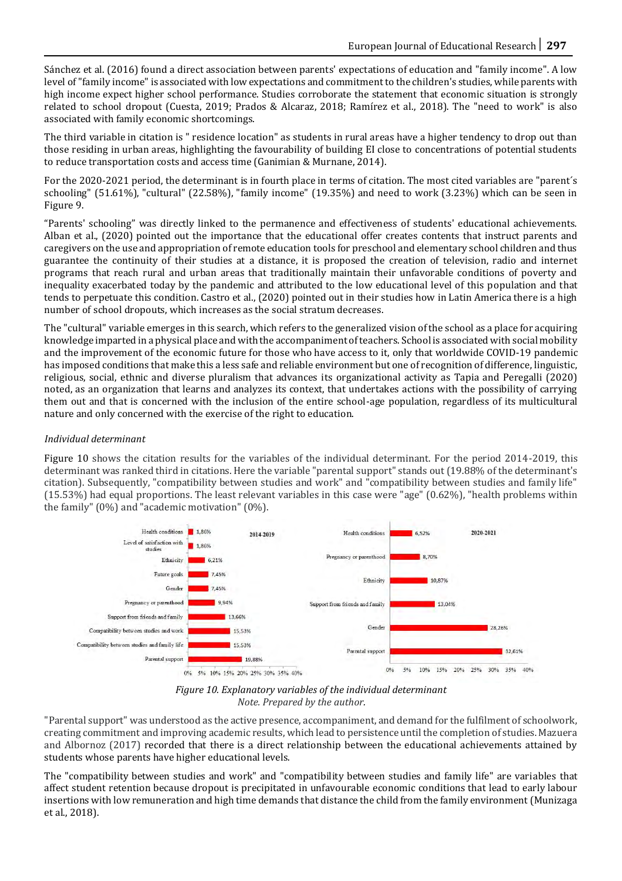Sánchez et al. (2016) found a direct association between parents' expectations of education and "family income". A low level of "family income" is associated with low expectations and commitment to the children's studies, while parents with high income expect higher school performance. Studies corroborate the statement that economic situation is strongly related to school dropout (Cuesta, 2019; Prados & Alcaraz, 2018; Ramírez et al., 2018). The "need to work" is also associated with family economic shortcomings.

The third variable in citation is " residence location" as students in rural areas have a higher tendency to drop out than those residing in urban areas, highlighting the favourability of building EI close to concentrations of potential students to reduce transportation costs and access time (Ganimian & Murnane, 2014).

For the 2020-2021 period, the determinant is in fourth place in terms of citation. The most cited variables are "parent´s schooling" (51.61%), "cultural" (22.58%), "family income" (19.35%) and need to work (3.23%) which can be seen in Figure 9.

"Parents' schooling" was directly linked to the permanence and effectiveness of students' educational achievements. Alban et al., (2020) pointed out the importance that the educational offer creates contents that instruct parents and caregivers on the use and appropriation of remote education tools for preschool and elementary school children and thus guarantee the continuity of their studies at a distance, it is proposed the creation of television, radio and internet programs that reach rural and urban areas that traditionally maintain their unfavorable conditions of poverty and inequality exacerbated today by the pandemic and attributed to the low educational level of this population and that tends to perpetuate this condition. Castro et al., (2020) pointed out in their studies how in Latin America there is a high number of school dropouts, which increases as the social stratum decreases.

The "cultural" variable emerges in this search, which refers to the generalized vision of the school as a place for acquiring knowledge imparted in a physical place and with the accompaniment of teachers. School is associated with social mobility and the improvement of the economic future for those who have access to it, only that worldwide COVID-19 pandemic has imposed conditions that make this a less safe and reliable environment but one of recognition of difference, linguistic, religious, social, ethnic and diverse pluralism that advances its organizational activity as Tapia and Peregalli (2020) noted, as an organization that learns and analyzes its context, that undertakes actions with the possibility of carrying them out and that is concerned with the inclusion of the entire school-age population, regardless of its multicultural nature and only concerned with the exercise of the right to education.

# *Individual determinant*

Figure 10 shows the citation results for the variables of the individual determinant. For the period 2014-2019, this determinant was ranked third in citations. Here the variable "parental support" stands out (19.88% of the determinant's citation). Subsequently, "compatibility between studies and work" and "compatibility between studies and family life" (15.53%) had equal proportions. The least relevant variables in this case were "age" (0.62%), "health problems within the family" (0%) and "academic motivation" (0%).





"Parental support" was understood as the active presence, accompaniment, and demand for the fulfilment of schoolwork, creating commitment and improving academic results, which lead to persistence until the completion of studies. Mazuera and Albornoz (2017) recorded that there is a direct relationship between the educational achievements attained by students whose parents have higher educational levels.

The "compatibility between studies and work" and "compatibility between studies and family life" are variables that affect student retention because dropout is precipitated in unfavourable economic conditions that lead to early labour insertions with low remuneration and high time demands that distance the child from the family environment (Munizaga et al., 2018).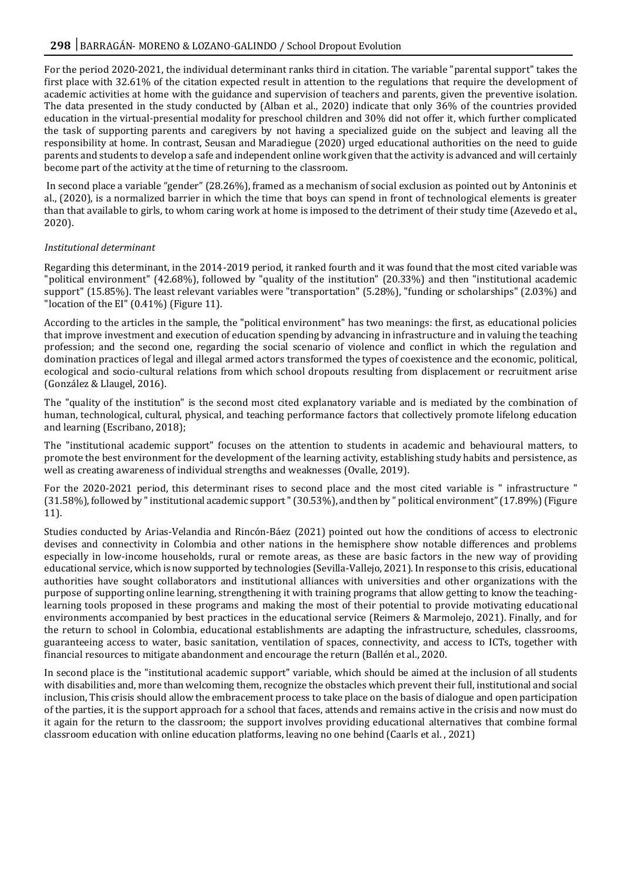For the period 2020-2021, the individual determinant ranks third in citation. The variable "parental support" takes the first place with 32.61% of the citation expected result in attention to the regulations that require the development of academic activities at home with the guidance and supervision of teachers and parents, given the preventive isolation. The data presented in the study conducted by (Alban et al., 2020) indicate that only 36% of the countries provided education in the virtual-presential modality for preschool children and 30% did not offer it, which further complicated the task of supporting parents and caregivers by not having a specialized guide on the subject and leaving all the responsibility at home. In contrast, Seusan and Maradiegue (2020) urged educational authorities on the need to guide parents and students to develop a safe and independent online work given that the activity is advanced and will certainly become part of the activity at the time of returning to the classroom.

In second place a variable "gender" (28.26%), framed as a mechanism of social exclusion as pointed out by Antoninis et al., (2020), is a normalized barrier in which the time that boys can spend in front of technological elements is greater than that available to girls, to whom caring work at home is imposed to the detriment of their study time (Azevedo et al., 2020).

#### *Institutional determinant*

Regarding this determinant, in the 2014-2019 period, it ranked fourth and it was found that the most cited variable was "political environment" (42.68%), followed by "quality of the institution" (20.33%) and then "institutional academic support" (15.85%). The least relevant variables were "transportation" (5.28%), "funding or scholarships" (2.03%) and "location of the EI" (0.41%) (Figure 11).

According to the articles in the sample, the "political environment" has two meanings: the first, as educational policies that improve investment and execution of education spending by advancing in infrastructure and in valuing the teaching profession; and the second one, regarding the social scenario of violence and conflict in which the regulation and domination practices of legal and illegal armed actors transformed the types of coexistence and the economic, political, ecological and socio-cultural relations from which school dropouts resulting from displacement or recruitment arise (González & Llaugel, 2016).

The "quality of the institution" is the second most cited explanatory variable and is mediated by the combination of human, technological, cultural, physical, and teaching performance factors that collectively promote lifelong education and learning (Escribano, 2018);

The "institutional academic support" focuses on the attention to students in academic and behavioural matters, to promote the best environment for the development of the learning activity, establishing study habits and persistence, as well as creating awareness of individual strengths and weaknesses (Ovalle, 2019).

For the 2020-2021 period, this determinant rises to second place and the most cited variable is " infrastructure " (31.58%), followed by " institutional academic support " (30.53%), and then by " political environment" (17.89%) (Figure 11).

Studies conducted by Arias-Velandia and Rincón-Báez (2021) pointed out how the conditions of access to electronic devises and connectivity in Colombia and other nations in the hemisphere show notable differences and problems especially in low-income households, rural or remote areas, as these are basic factors in the new way of providing educational service, which is now supported by technologies (Sevilla-Vallejo, 2021). In response to this crisis, educational authorities have sought collaborators and institutional alliances with universities and other organizations with the purpose of supporting online learning, strengthening it with training programs that allow getting to know the teachinglearning tools proposed in these programs and making the most of their potential to provide motivating educational environments accompanied by best practices in the educational service (Reimers & Marmolejo, 2021). Finally, and for the return to school in Colombia, educational establishments are adapting the infrastructure, schedules, classrooms, guaranteeing access to water, basic sanitation, ventilation of spaces, connectivity, and access to ICTs, together with financial resources to mitigate abandonment and encourage the return (Ballén et al., 2020.

In second place is the "institutional academic support" variable, which should be aimed at the inclusion of all students with disabilities and, more than welcoming them, recognize the obstacles which prevent their full, institutional and social inclusion, This crisis should allow the embracement process to take place on the basis of dialogue and open participation of the parties, it is the support approach for a school that faces, attends and remains active in the crisis and now must do it again for the return to the classroom; the support involves providing educational alternatives that combine formal classroom education with online education platforms, leaving no one behind (Caarls et al. , 2021)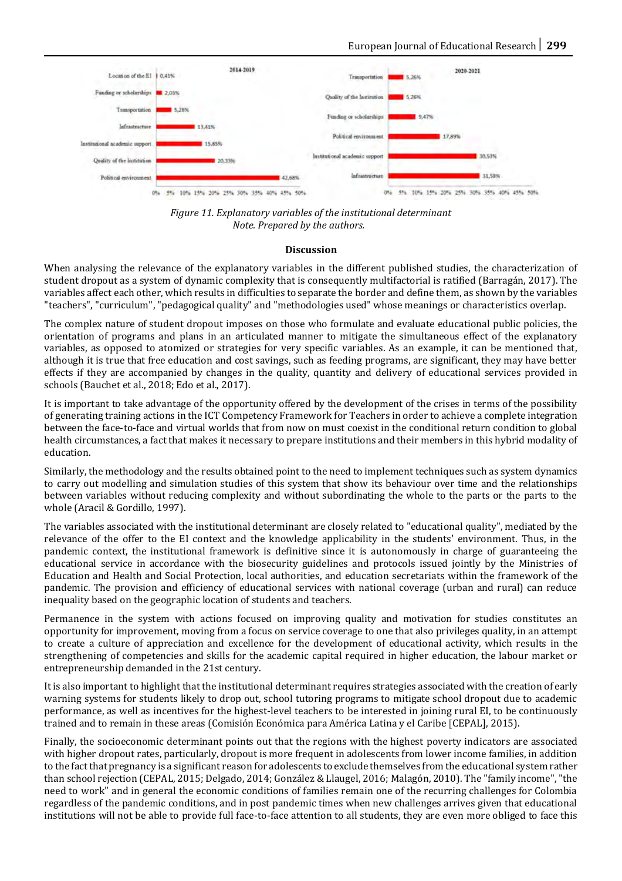

*Figure 11. Explanatory variables of the institutional determinant Note. Prepared by the authors.*

#### **Discussion**

When analysing the relevance of the explanatory variables in the different published studies, the characterization of student dropout as a system of dynamic complexity that is consequently multifactorial is ratified (Barragán, 2017). The variables affect each other, which results in difficulties to separate the border and define them, as shown by the variables "teachers", "curriculum", "pedagogical quality" and "methodologies used" whose meanings or characteristics overlap.

The complex nature of student dropout imposes on those who formulate and evaluate educational public policies, the orientation of programs and plans in an articulated manner to mitigate the simultaneous effect of the explanatory variables, as opposed to atomized or strategies for very specific variables. As an example, it can be mentioned that, although it is true that free education and cost savings, such as feeding programs, are significant, they may have better effects if they are accompanied by changes in the quality, quantity and delivery of educational services provided in schools (Bauchet et al., 2018; Edo et al., 2017).

It is important to take advantage of the opportunity offered by the development of the crises in terms of the possibility of generating training actions in the ICT Competency Framework for Teachers in order to achieve a complete integration between the face-to-face and virtual worlds that from now on must coexist in the conditional return condition to global health circumstances, a fact that makes it necessary to prepare institutions and their members in this hybrid modality of education.

Similarly, the methodology and the results obtained point to the need to implement techniques such as system dynamics to carry out modelling and simulation studies of this system that show its behaviour over time and the relationships between variables without reducing complexity and without subordinating the whole to the parts or the parts to the whole (Aracil & Gordillo, 1997).

The variables associated with the institutional determinant are closely related to "educational quality", mediated by the relevance of the offer to the EI context and the knowledge applicability in the students' environment. Thus, in the pandemic context, the institutional framework is definitive since it is autonomously in charge of guaranteeing the educational service in accordance with the biosecurity guidelines and protocols issued jointly by the Ministries of Education and Health and Social Protection, local authorities, and education secretariats within the framework of the pandemic. The provision and efficiency of educational services with national coverage (urban and rural) can reduce inequality based on the geographic location of students and teachers.

Permanence in the system with actions focused on improving quality and motivation for studies constitutes an opportunity for improvement, moving from a focus on service coverage to one that also privileges quality, in an attempt to create a culture of appreciation and excellence for the development of educational activity, which results in the strengthening of competencies and skills for the academic capital required in higher education, the labour market or entrepreneurship demanded in the 21st century.

It is also important to highlight that the institutional determinant requires strategies associated with the creation of early warning systems for students likely to drop out, school tutoring programs to mitigate school dropout due to academic performance, as well as incentives for the highest-level teachers to be interested in joining rural EI, to be continuously trained and to remain in these areas (Comisión Económica para América Latina y el Caribe [CEPAL], 2015).

Finally, the socioeconomic determinant points out that the regions with the highest poverty indicators are associated with higher dropout rates, particularly, dropout is more frequent in adolescents from lower income families, in addition to the fact that pregnancy is a significant reason for adolescents to exclude themselves from the educational system rather than school rejection (CEPAL, 2015; Delgado, 2014; González & Llaugel, 2016; Malagón, 2010). The "family income", "the need to work" and in general the economic conditions of families remain one of the recurring challenges for Colombia regardless of the pandemic conditions, and in post pandemic times when new challenges arrives given that educational institutions will not be able to provide full face-to-face attention to all students, they are even more obliged to face this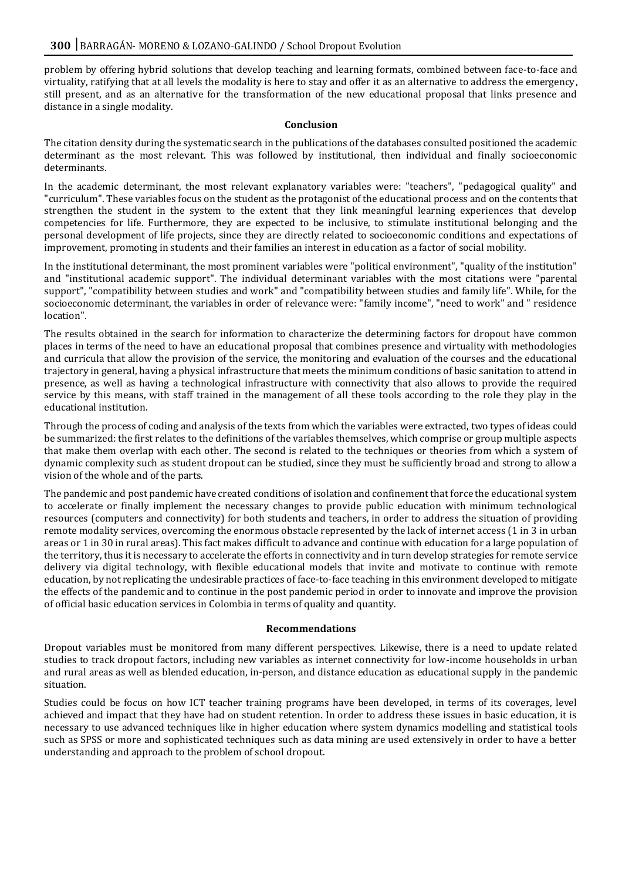problem by offering hybrid solutions that develop teaching and learning formats, combined between face-to-face and virtuality, ratifying that at all levels the modality is here to stay and offer it as an alternative to address the emergency, still present, and as an alternative for the transformation of the new educational proposal that links presence and distance in a single modality.

#### **Conclusion**

The citation density during the systematic search in the publications of the databases consulted positioned the academic determinant as the most relevant. This was followed by institutional, then individual and finally socioeconomic determinants.

In the academic determinant, the most relevant explanatory variables were: "teachers", "pedagogical quality" and "curriculum". These variables focus on the student as the protagonist of the educational process and on the contents that strengthen the student in the system to the extent that they link meaningful learning experiences that develop competencies for life. Furthermore, they are expected to be inclusive, to stimulate institutional belonging and the personal development of life projects, since they are directly related to socioeconomic conditions and expectations of improvement, promoting in students and their families an interest in education as a factor of social mobility.

In the institutional determinant, the most prominent variables were "political environment", "quality of the institution" and "institutional academic support". The individual determinant variables with the most citations were "parental support", "compatibility between studies and work" and "compatibility between studies and family life". While, for the socioeconomic determinant, the variables in order of relevance were: "family income", "need to work" and " residence location".

The results obtained in the search for information to characterize the determining factors for dropout have common places in terms of the need to have an educational proposal that combines presence and virtuality with methodologies and curricula that allow the provision of the service, the monitoring and evaluation of the courses and the educational trajectory in general, having a physical infrastructure that meets the minimum conditions of basic sanitation to attend in presence, as well as having a technological infrastructure with connectivity that also allows to provide the required service by this means, with staff trained in the management of all these tools according to the role they play in the educational institution.

Through the process of coding and analysis of the texts from which the variables were extracted, two types of ideas could be summarized: the first relates to the definitions of the variables themselves, which comprise or group multiple aspects that make them overlap with each other. The second is related to the techniques or theories from which a system of dynamic complexity such as student dropout can be studied, since they must be sufficiently broad and strong to allow a vision of the whole and of the parts.

The pandemic and post pandemic have created conditions of isolation and confinement that force the educational system to accelerate or finally implement the necessary changes to provide public education with minimum technological resources (computers and connectivity) for both students and teachers, in order to address the situation of providing remote modality services, overcoming the enormous obstacle represented by the lack of internet access (1 in 3 in urban areas or 1 in 30 in rural areas). This fact makes difficult to advance and continue with education for a large population of the territory, thus it is necessary to accelerate the efforts in connectivity and in turn develop strategies for remote service delivery via digital technology, with flexible educational models that invite and motivate to continue with remote education, by not replicating the undesirable practices of face-to-face teaching in this environment developed to mitigate the effects of the pandemic and to continue in the post pandemic period in order to innovate and improve the provision of official basic education services in Colombia in terms of quality and quantity.

#### **Recommendations**

Dropout variables must be monitored from many different perspectives. Likewise, there is a need to update related studies to track dropout factors, including new variables as internet connectivity for low-income households in urban and rural areas as well as blended education, in-person, and distance education as educational supply in the pandemic situation.

Studies could be focus on how ICT teacher training programs have been developed, in terms of its coverages, level achieved and impact that they have had on student retention. In order to address these issues in basic education, it is necessary to use advanced techniques like in higher education where system dynamics modelling and statistical tools such as SPSS or more and sophisticated techniques such as data mining are used extensively in order to have a better understanding and approach to the problem of school dropout.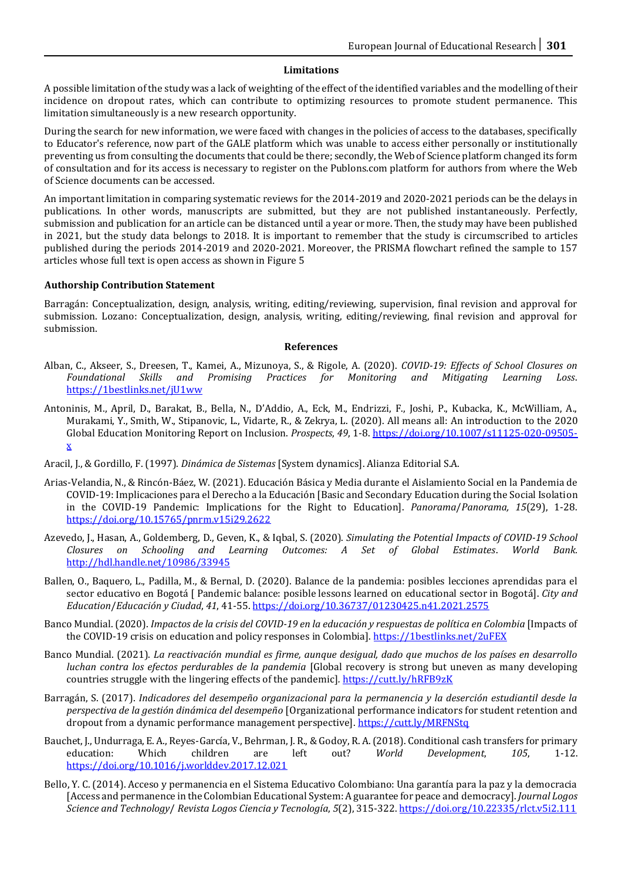#### **Limitations**

A possible limitation of the study was a lack of weighting of the effect of the identified variables and the modelling of their incidence on dropout rates, which can contribute to optimizing resources to promote student permanence. This limitation simultaneously is a new research opportunity.

During the search for new information, we were faced with changes in the policies of access to the databases, specifically to Educator's reference, now part of the GALE platform which was unable to access either personally or institutionally preventing us from consulting the documents that could be there; secondly, the Web of Science platform changed its form of consultation and for its access is necessary to register on the Publons.com platform for authors from where the Web of Science documents can be accessed.

An important limitation in comparing systematic reviews for the 2014-2019 and 2020-2021 periods can be the delays in publications. In other words, manuscripts are submitted, but they are not published instantaneously. Perfectly, submission and publication for an article can be distanced until a year or more. Then, the study may have been published in 2021, but the study data belongs to 2018. It is important to remember that the study is circumscribed to articles published during the periods 2014-2019 and 2020-2021. Moreover, the PRISMA flowchart refined the sample to 157 articles whose full text is open access as shown in Figure 5

#### **Authorship Contribution Statement**

Barragán: Conceptualization, design, analysis, writing, editing/reviewing, supervision, final revision and approval for submission. Lozano: Conceptualization, design, analysis, writing, editing/reviewing, final revision and approval for submission.

#### **References**

- Alban, C., Akseer, S., Dreesen, T., Kamei, A., Mizunoya, S., & Rigole, A. (2020). *COVID-19: Effects of School Closures on Foundational Skills and Promising Practices for Monitoring and Mitigating Learning Loss*. <https://1bestlinks.net/jU1ww>
- Antoninis, M., April, D., Barakat, B., Bella, N., D'Addio, A., Eck, M., Endrizzi, F., Joshi, P., Kubacka, K., McWilliam, A., Murakami, Y., Smith, W., Stipanovic, L., Vidarte, R., & Zekrya, L. (2020). All means all: An introduction to the 2020 Global Education Monitoring Report on Inclusion. *Prospects*, *49*, 1-8[. https://doi.org/10.1007/s11125-020-09505](https://doi.org/10.1007/s11125-020-09505-x) [x](https://doi.org/10.1007/s11125-020-09505-x)
- Aracil, J., & Gordillo, F. (1997). *Dinámica de Sistemas* [System dynamics]. Alianza Editorial S.A.
- Arias-Velandia, N., & Rincón-Báez, W. (2021). Educación Básica y Media durante el Aislamiento Social en la Pandemia de COVID-19: Implicaciones para el Derecho a la Educación [Basic and Secondary Education during the Social Isolation in the COVID-19 Pandemic: Implications for the Right to Education]. *Panorama*/*Panorama, 15*(29), 1-28. <https://doi.org/10.15765/pnrm.v15i29.2622>
- Azevedo, J., Hasan, A., Goldemberg, D., Geven, K., & Iqbal, S. (2020). *Simulating the Potential Impacts of COVID-19 School Closures on Schooling and Learning Outcomes: A Set of Global Estimates*. *World Bank.*  <http://hdl.handle.net/10986/33945>
- Ballen, O., Baquero, L., Padilla, M., & Bernal, D. (2020). Balance de la pandemia: posibles lecciones aprendidas para el sector educativo en Bogotá [ Pandemic balance: posible lessons learned on educational sector in Bogotá]. *City and Education*/*Educación y Ciudad*, *41*, 41-55[. https://doi.org/10.36737/01230425.n41.2021.2575](https://doi.org/10.36737/01230425.n41.2021.2575)
- Banco Mundial. (2020). *Impactos de la crisis del COVID-19 en la educación y respuestas de política en Colombia* [Impacts of the COVID-19 crisis on education and policy responses in Colombia]. <https://1bestlinks.net/2uFEX>
- Banco Mundial. (2021). *La reactivación mundial es firme, aunque desigual, dado que muchos de los países en desarrollo luchan contra los efectos perdurables de la pandemia* [Global recovery is strong but uneven as many developing countries struggle with the lingering effects of the pandemic]*.* <https://cutt.ly/hRFB9zK>
- Barragán, S. (2017). *Indicadores del desempeño organizacional para la permanencia y la deserción estudiantil desde la perspectiva de la gestión dinámica del desempeño* [Organizational performance indicators for student retention and dropout from a dynamic performance management perspective][. https://cutt.ly/MRFNStq](https://cutt.ly/MRFNStq)
- Bauchet, J., Undurraga, E. A., Reyes-García, V., Behrman, J. R., & Godoy, R. A. (2018). Conditional cash transfers for primary education: Which children are left out? *World Development*, *105*, 1-12. <https://doi.org/10.1016/j.worlddev.2017.12.021>
- Bello, Y. C. (2014). Acceso y permanencia en el Sistema Educativo Colombiano: Una garantía para la paz y la democracia [Access and permanence in the Colombian Educational System: A guarantee for peace and democracy]. *Journal Logos Science and Technology*/ *Revista Logos Ciencia y Tecnología*, *5*(2), 315-322.<https://doi.org/10.22335/rlct.v5i2.111>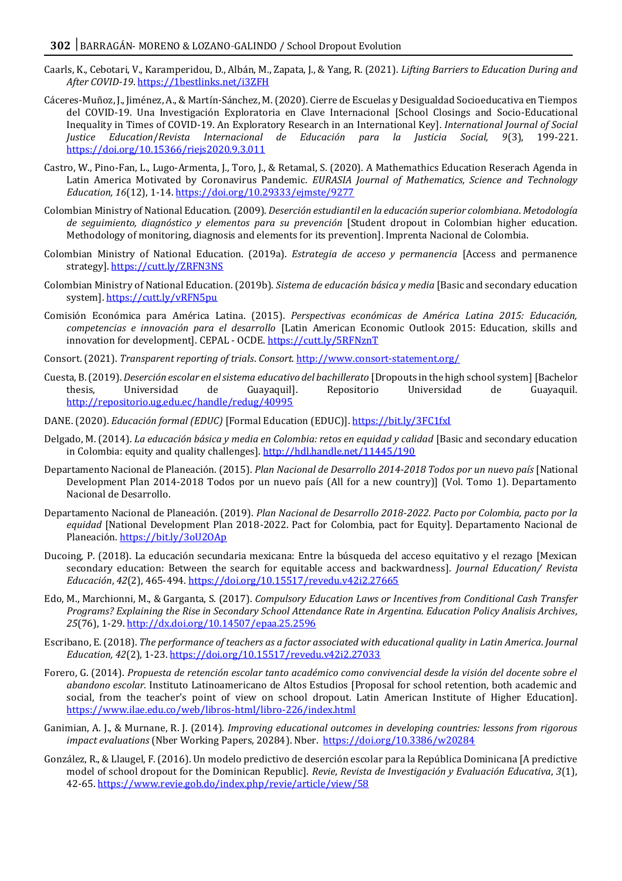- Caarls, K., Cebotari, V., Karamperidou, D., Albán, M., Zapata, J., & Yang, R. (2021). *Lifting Barriers to Education During and After COVID-19*. <https://1bestlinks.net/i3ZFH>
- Cáceres-Muñoz, J., Jiménez, A., & Martín-Sánchez, M. (2020). Cierre de Escuelas y Desigualdad Socioeducativa en Tiempos del COVID-19. Una Investigación Exploratoria en Clave Internacional [School Closings and Socio-Educational Inequality in Times of COVID-19. An Exploratory Research in an International Key]. *International Journal of Social Justice Education*/*Revista Internacional de Educación para la Justicia Social, 9*(3), 199-221. <https://doi.org/10.15366/riejs2020.9.3.011>
- Castro, W., Pino-Fan, L., Lugo-Armenta, J., Toro, J., & Retamal, S. (2020). A Mathemathics Education Reserach Agenda in Latin America Motivated by Coronavirus Pandemic. *EURASIA Journal of Mathematics, Science and Technology Education, 16*(12), 1-14[. https://doi.org/10.29333/ejmste/9277](https://doi.org/10.29333/ejmste/9277)
- Colombian Ministry of National Education. (2009). *Deserción estudiantil en la educación superior colombiana*. *Metodología de seguimiento, diagnóstico y elementos para su prevención* [Student dropout in Colombian higher education. Methodology of monitoring, diagnosis and elements for its prevention]. Imprenta Nacional de Colombia.
- Colombian Ministry of National Education. (2019a). *Estrategia de acceso y permanencia* [Access and permanence strategy][. https://cutt.ly/ZRFN3NS](https://cutt.ly/ZRFN3NS)
- Colombian Ministry of National Education. (2019b). *Sistema de educación básica y media* [Basic and secondary education system].<https://cutt.ly/vRFN5pu>
- Comisión Económica para América Latina. (2015). *Perspectivas económicas de América Latina 2015: Educación, competencias e innovación para el desarrollo* [Latin American Economic Outlook 2015: Education, skills and innovation for development]. CEPAL - OCDE.<https://cutt.ly/5RFNznT>
- Consort. (2021). *Transparent reporting of trials*. *Consort*.<http://www.consort-statement.org/>
- Cuesta, B. (2019). *Deserción escolar en el sistema educativo del bachillerato* [Dropouts in the high school system] [Bachelor thesis, Universidad de Guayaquil]. Repositorio Universidad de Guayaquil. <http://repositorio.ug.edu.ec/handle/redug/40995>
- DANE. (2020). *Educación formal (EDUC)* [Formal Education (EDUC)][. https://bit.ly/3FC1fxI](https://bit.ly/3FC1fxI)
- Delgado, M. (2014). *La educación básica y media en Colombia: retos en equidad y calidad* [Basic and secondary education in Colombia: equity and quality challenges][. http://hdl.handle.net/11445/190](http://hdl.handle.net/11445/190)
- Departamento Nacional de Planeación. (2015). *Plan Nacional de Desarrollo 2014-2018 Todos por un nuevo país* [National Development Plan 2014-2018 Todos por un nuevo país (All for a new country)] (Vol. Tomo 1). Departamento Nacional de Desarrollo.
- Departamento Nacional de Planeación. (2019). *Plan Nacional de Desarrollo 2018-2022. Pacto por Colombia, pacto por la equidad* [National Development Plan 2018-2022. Pact for Colombia, pact for Equity]. Departamento Nacional de Planeación. <https://bit.ly/3oU2OAp>
- Ducoing, P. (2018). La educación secundaria mexicana: Entre la búsqueda del acceso equitativo y el rezago [Mexican secondary education: Between the search for equitable access and backwardness]. *Journal Education/ Revista Educación*, *42*(2), 465-494[. https://doi.org/10.15517/revedu.v42i2.27665](https://doi.org/10.15517/revedu.v42i2.27665)
- Edo, M., Marchionni, M., & Garganta, S. (2017). *Compulsory Education Laws or Incentives from Conditional Cash Transfer Programs? Explaining the Rise in Secondary School Attendance Rate in Argentina. Education Policy Analisis Archives, 25*(76), 1-29[. http://dx.doi.org/10.14507/epaa.25.2596](http://dx.doi.org/10.14507/epaa.25.2596)
- Escribano, E. (2018). *The performance of teachers as a factor associated with educational quality in Latin America*. *Journal Education, 42*(2), 1-23[. https://doi.org/10.15517/revedu.v42i2.27033](https://doi.org/10.15517/revedu.v42i2.27033)
- Forero, G. (2014). *Propuesta de retención escolar tanto académico como convivencial desde la visión del docente sobre el abandono escolar.* Instituto Latinoamericano de Altos Estudios [Proposal for school retention, both academic and social, from the teacher's point of view on school dropout. Latin American Institute of Higher Education]. <https://www.ilae.edu.co/web/libros-html/libro-226/index.html>
- Ganimian, A. J., & Murnane, R. J. (2014). *Improving educational outcomes in developing countries: lessons from rigorous impact evaluations* (Nber Working Papers, 20284). Nber. <https://doi.org/10.3386/w20284>
- González, R., & Llaugel, F. (2016). Un modelo predictivo de deserción escolar para la República Dominicana [A predictive model of school dropout for the Dominican Republic]. *Revie*, *Revista de Investigación y Evaluación Educativa*, *3*(1), 42-65[. https://www.revie.gob.do/index.php/revie/article/view/58](https://www.revie.gob.do/index.php/revie/article/view/58)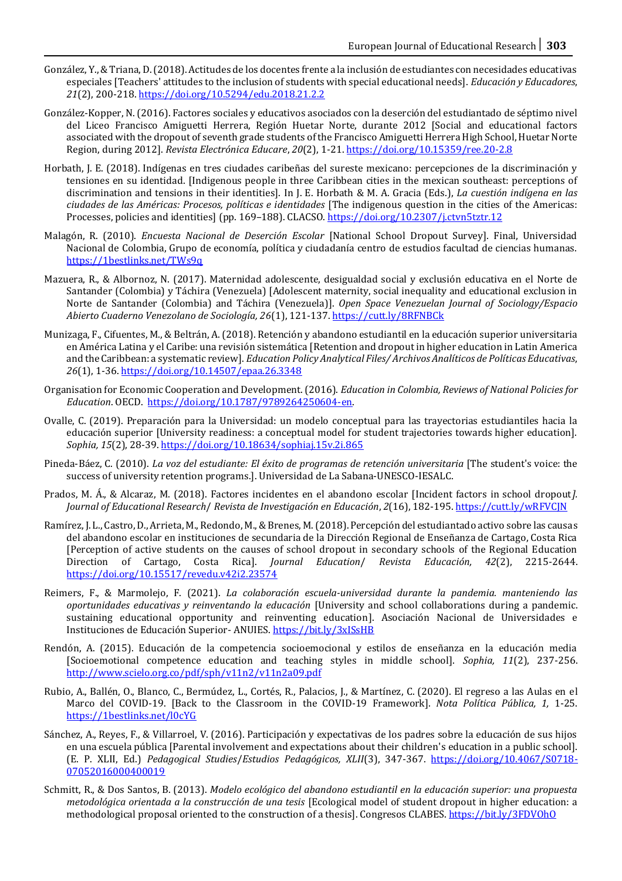- González, Y., & Triana, D. (2018). Actitudes de los docentes frente a la inclusión de estudiantes con necesidades educativas especiales [Teachers' attitudes to the inclusion of students with special educational needs]. *Educación y Educadores*, *21*(2), 200-218[. https://doi.org/10.5294/edu.2018.21.2.2](https://doi.org/10.5294/edu.2018.21.2.2)
- González-Kopper, N. (2016). Factores sociales y educativos asociados con la deserción del estudiantado de séptimo nivel del Liceo Francisco Amiguetti Herrera, Región Huetar Norte, durante 2012 [Social and educational factors associated with the dropout of seventh grade students of the Francisco Amiguetti Herrera High School, Huetar Norte Region, during 2012]. *Revista Electrónica Educare*, *20*(2), 1-21[. https://doi.org/10.15359/ree.20-2.8](https://doi.org/10.15359/ree.20-2.8)
- Horbath, J. E. (2018). Indígenas en tres ciudades caribeñas del sureste mexicano: percepciones de la discriminación y tensiones en su identidad. [Indigenous people in three Caribbean cities in the mexican southeast: perceptions of discrimination and tensions in their identities]. In J. E. Horbath & M. A. Gracia (Eds.), *La cuestión indígena en las ciudades de las Américas: Procesos, políticas e identidades* [The indigenous question in the cities of the Americas: Processes, policies and identities] (pp. 169–188). CLACSO[. https://doi.org/10.2307/j.ctvn5tztr.12](https://doi.org/10.2307/j.ctvn5tztr.12)
- Malagón, R. (2010). *Encuesta Nacional de Deserción Escolar* [National School Dropout Survey]. Final, Universidad Nacional de Colombia, Grupo de economía, política y ciudadanía centro de estudios facultad de ciencias humanas. <https://1bestlinks.net/TWs9q>
- Mazuera, R., & Albornoz, N. (2017). Maternidad adolescente, desigualdad social y exclusión educativa en el Norte de Santander (Colombia) y Táchira (Venezuela) [Adolescent maternity, social inequality and educational exclusion in Norte de Santander (Colombia) and Táchira (Venezuela)]. *Open Space Venezuelan Journal of Sociology/Espacio Abierto Cuaderno Venezolano de Sociología, 26*(1), 121-137.<https://cutt.ly/8RFNBCk>
- Munizaga, F., Cifuentes, M., & Beltrán, A. (2018). Retención y abandono estudiantil en la educación superior universitaria en América Latina y el Caribe: una revisión sistemática [Retention and dropout in higher education in Latin America and the Caribbean: a systematic review]. *Education Policy Analytical Files/ Archivos Analíticos de Políticas Educativas*, *26*(1), 1-36.<https://doi.org/10.14507/epaa.26.3348>
- Organisation for Economic Cooperation and Development. (2016). *Education in Colombia, Reviews of National Policies for Education*. OECD. [https://doi.org/10.1787/9789264250604-en.](https://doi.org/10.1787/9789264250604-en)
- Ovalle, C. (2019). Preparación para la Universidad: un modelo conceptual para las trayectorias estudiantiles hacia la educación superior [University readiness: a conceptual model for student trajectories towards higher education]. *Sophia, 15*(2), 28-39[. https://doi.org/10.18634/sophiaj.15v.2i.865](https://doi.org/10.18634/sophiaj.15v.2i.865)
- Pineda-Báez, C. (2010). *La voz del estudiante: El éxito de programas de retención universitaria* [The student's voice: the success of university retention programs.]. Universidad de La Sabana-UNESCO-IESALC.
- Prados, M. Á., & Alcaraz, M. (2018). Factores incidentes en el abandono escolar [Incident factors in school dropout*]. Journal of Educational Research*/ *Revista de Investigación en Educación*, *2*(16), 182-195. https://cutt.ly/wRFVCJN
- Ramírez, J. L., Castro, D., Arrieta, M., Redondo, M., & Brenes, M. (2018). Percepción del estudiantado activo sobre las causas del abandono escolar en instituciones de secundaria de la Dirección Regional de Enseñanza de Cartago, Costa Rica [Perception of active students on the causes of school dropout in secondary schools of the Regional Education Direction of Cartago, Costa Rica]. *Journal Education*/ *Revista Educación, 42*(2), 2215-2644. <https://doi.org/10.15517/revedu.v42i2.23574>
- Reimers, F., & Marmolejo, F. (2021). *La colaboración escuela-universidad durante la pandemia. manteniendo las oportunidades educativas y reinventando la educación* [University and school collaborations during a pandemic. sustaining educational opportunity and reinventing education]. Asociación Nacional de Universidades e Instituciones de Educación Superior- ANUIES. <https://bit.ly/3xISsHB>
- Rendón, A. (2015). Educación de la competencia socioemocional y estilos de enseñanza en la educación media [Socioemotional competence education and teaching styles in middle school]. *Sophia, 11*(2), 237-256. <http://www.scielo.org.co/pdf/sph/v11n2/v11n2a09.pdf>
- Rubio, A., Ballén, O., Blanco, C., Bermúdez, L., Cortés, R., Palacios, J., & Martínez, C. (2020). El regreso a las Aulas en el Marco del COVID-19. [Back to the Classroom in the COVID-19 Framework]. *Nota Política Pública, 1,* 1-25. <https://1bestlinks.net/l0cYG>
- Sánchez, A., Reyes, F., & Villarroel, V. (2016). Participación y expectativas de los padres sobre la educación de sus hijos en una escuela pública [Parental involvement and expectations about their children's education in a public school]. (E. P. XLII, Ed.) *Pedagogical Studies*/*Estudios Pedagógicos, XLII*(3), 347-367. [https://doi.org/10.4067/S0718-](https://doi.org/10.4067/S0718-07052016000400019) [07052016000400019](https://doi.org/10.4067/S0718-07052016000400019)
- Schmitt, R., & Dos Santos, B. (2013). *Modelo ecológico del abandono estudiantil en la educación superior: una propuesta metodológica orientada a la construcción de una tesis* [Ecological model of student dropout in higher education: a methodological proposal oriented to the construction of a thesis]. Congresos CLABES. <https://bit.ly/3FDVOhO>